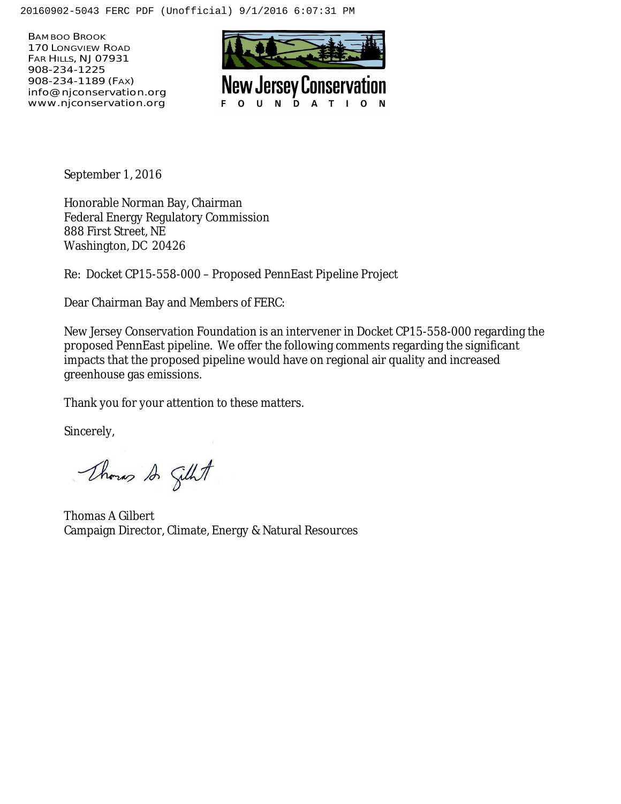BAMBOO BROOK 170 LONGVIEW ROAD FAR HILLS, NJ 07931 908-234-1225 908-234-1189 (FAX) info@njconservation.org www.njconservation.org



September 1, 2016

Honorable Norman Bay, Chairman Federal Energy Regulatory Commission 888 First Street, NE Washington, DC 20426

Re: Docket CP15-558-000 – Proposed PennEast Pipeline Project

Dear Chairman Bay and Members of FERC:

New Jersey Conservation Foundation is an intervener in Docket CP15-558-000 regarding the proposed PennEast pipeline. We offer the following comments regarding the significant impacts that the proposed pipeline would have on regional air quality and increased greenhouse gas emissions.

Thank you for your attention to these matters.

Sincerely,

Though Silht

Thomas A Gilbert Campaign Director, Climate, Energy & Natural Resources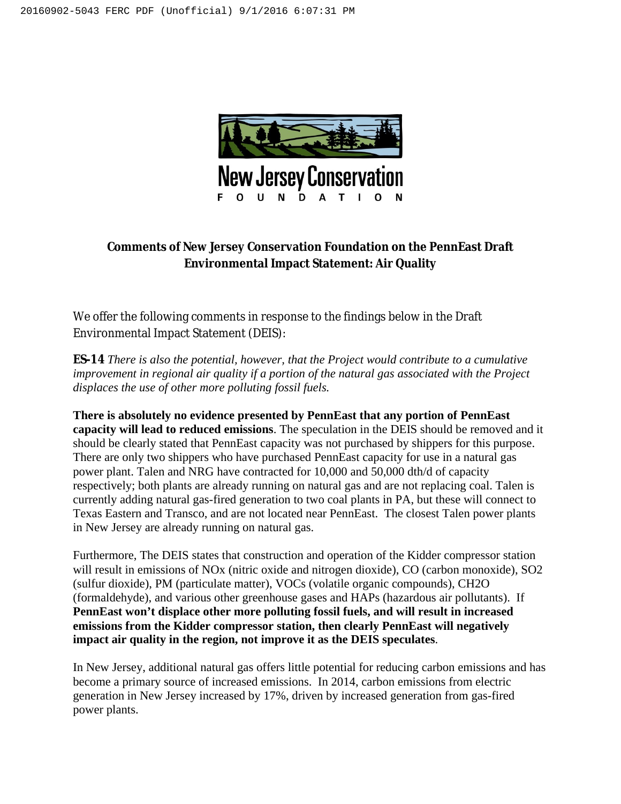

## **Comments of New Jersey Conservation Foundation on the PennEast Draft Environmental Impact Statement: Air Quality**

We offer the following comments in response to the findings below in the Draft Environmental Impact Statement (DEIS):

**ES-14** *There is also the potential, however, that the Project would contribute to a cumulative improvement in regional air quality if a portion of the natural gas associated with the Project displaces the use of other more polluting fossil fuels.* 

**There is absolutely no evidence presented by PennEast that any portion of PennEast capacity will lead to reduced emissions**. The speculation in the DEIS should be removed and it should be clearly stated that PennEast capacity was not purchased by shippers for this purpose. There are only two shippers who have purchased PennEast capacity for use in a natural gas power plant. Talen and NRG have contracted for 10,000 and 50,000 dth/d of capacity respectively; both plants are already running on natural gas and are not replacing coal. Talen is currently adding natural gas-fired generation to two coal plants in PA, but these will connect to Texas Eastern and Transco, and are not located near PennEast. The closest Talen power plants in New Jersey are already running on natural gas.

Furthermore, The DEIS states that construction and operation of the Kidder compressor station will result in emissions of NOx (nitric oxide and nitrogen dioxide), CO (carbon monoxide), SO2 (sulfur dioxide), PM (particulate matter), VOCs (volatile organic compounds), CH2O (formaldehyde), and various other greenhouse gases and HAPs (hazardous air pollutants). If **PennEast won't displace other more polluting fossil fuels, and will result in increased emissions from the Kidder compressor station, then clearly PennEast will negatively impact air quality in the region, not improve it as the DEIS speculates**.

In New Jersey, additional natural gas offers little potential for reducing carbon emissions and has become a primary source of increased emissions. In 2014, carbon emissions from electric generation in New Jersey increased by 17%, driven by increased generation from gas-fired power plants.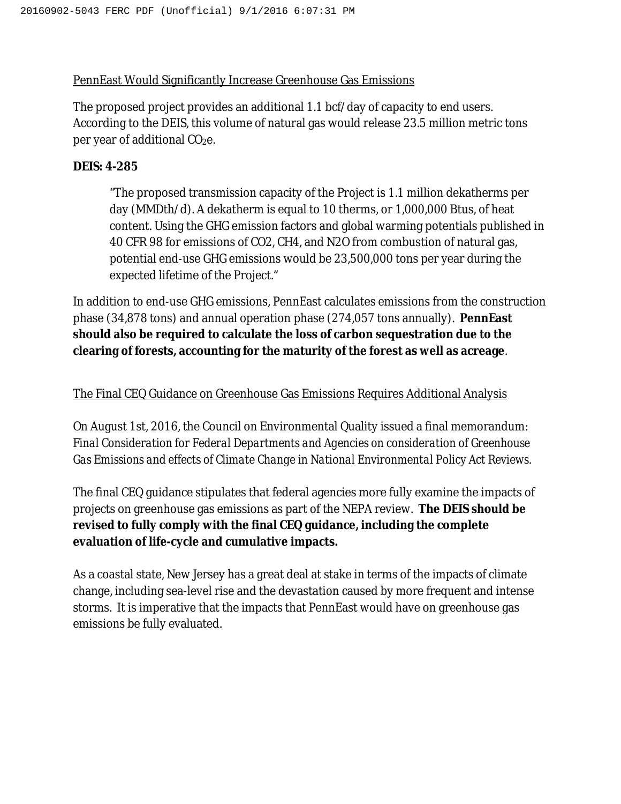## PennEast Would Significantly Increase Greenhouse Gas Emissions

The proposed project provides an additional 1.1 bcf/day of capacity to end users. According to the DEIS, this volume of natural gas would release 23.5 million metric tons per year of additional CO<sub>2</sub>e.

## **DEIS: 4-285**

"The proposed transmission capacity of the Project is 1.1 million dekatherms per day (MMDth/d). A dekatherm is equal to 10 therms, or 1,000,000 Btus, of heat content. Using the GHG emission factors and global warming potentials published in 40 CFR 98 for emissions of CO2, CH4, and N2O from combustion of natural gas, potential end-use GHG emissions would be 23,500,000 tons per year during the expected lifetime of the Project."

In addition to end-use GHG emissions, PennEast calculates emissions from the construction phase (34,878 tons) and annual operation phase (274,057 tons annually). **PennEast should also be required to calculate the loss of carbon sequestration due to the clearing of forests, accounting for the maturity of the forest as well as acreage**.

## The Final CEQ Guidance on Greenhouse Gas Emissions Requires Additional Analysis

On August 1st, 2016, the Council on Environmental Quality issued a final memorandum: *Final Consideration for Federal Departments and Agencies on consideration of Greenhouse Gas Emissions and effects of Climate Change in National Environmental Policy Act Reviews.*

The final CEQ guidance stipulates that federal agencies more fully examine the impacts of projects on greenhouse gas emissions as part of the NEPA review. **The DEIS should be revised to fully comply with the final CEQ guidance, including the complete evaluation of life-cycle and cumulative impacts.**

As a coastal state, New Jersey has a great deal at stake in terms of the impacts of climate change, including sea-level rise and the devastation caused by more frequent and intense storms. It is imperative that the impacts that PennEast would have on greenhouse gas emissions be fully evaluated.